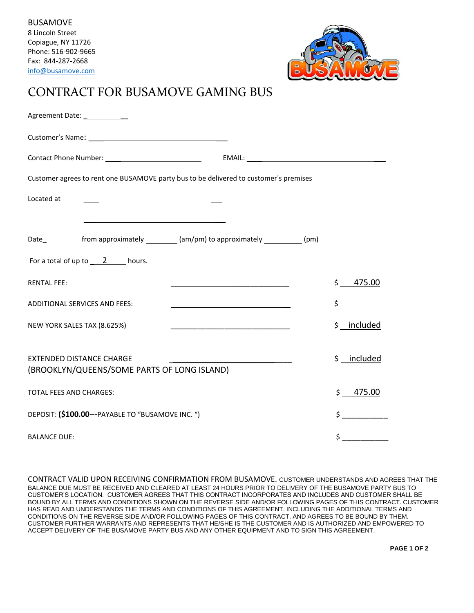

## CONTRACT FOR BUSAMOVE GAMING BUS

| Agreement Date: _____________                                                          |                                                                                                                                                  |
|----------------------------------------------------------------------------------------|--------------------------------------------------------------------------------------------------------------------------------------------------|
|                                                                                        |                                                                                                                                                  |
|                                                                                        |                                                                                                                                                  |
| Customer agrees to rent one BUSAMOVE party bus to be delivered to customer's premises  |                                                                                                                                                  |
| Located at<br><u> 1989 - Johann Barbara, martxa alemaniar amerikan a</u>               |                                                                                                                                                  |
|                                                                                        |                                                                                                                                                  |
| Date_____________from approximately __________(am/pm) to approximately ___________(pm) |                                                                                                                                                  |
| For a total of up to $\qquad 2 \qquad$ hours.                                          |                                                                                                                                                  |
| <b>RENTAL FEE:</b>                                                                     | $\frac{1}{2}$<br>475.00<br><u> 1989 - Johann Barn, mars ann an t-Amhain an t-Amhain an t-Amhain an t-Amhain an t-Amhain an t-Amhain an t-Amh</u> |
| <b>ADDITIONAL SERVICES AND FEES:</b>                                                   | \$<br><u> 1989 - Johann Barbara, martxa alemaniar arg</u>                                                                                        |
| NEW YORK SALES TAX (8.625%)                                                            | \$ __ included<br><u> 1989 - Johann Harry Harry Harry Harry Harry Harry Harry Harry Harry Harry Harry Harry Harry Harry Harry Harry</u>          |
|                                                                                        |                                                                                                                                                  |
| <b>EXTENDED DISTANCE CHARGE</b><br>(BROOKLYN/QUEENS/SOME PARTS OF LONG ISLAND)         | \$ included                                                                                                                                      |
| <b>TOTAL FEES AND CHARGES:</b>                                                         | \$475.00                                                                                                                                         |
| DEPOSIT: (\$100.00---PAYABLE TO "BUSAMOVE INC. ")                                      | $\frac{1}{2}$                                                                                                                                    |
| <b>BALANCE DUE:</b>                                                                    | \$                                                                                                                                               |

CONTRACT VALID UPON RECEIVING CONFIRMATION FROM BUSAMOVE. CUSTOMER UNDERSTANDS AND AGREES THAT THE BALANCE DUE MUST BE RECEIVED AND CLEARED AT LEAST 24 HOURS PRIOR TO DELIVERY OF THE BUSAMOVE PARTY BUS TO CUSTOMER'S LOCATION. CUSTOMER AGREES THAT THIS CONTRACT INCORPORATES AND INCLUDES AND CUSTOMER SHALL BE BOUND BY ALL TERMS AND CONDITIONS SHOWN ON THE REVERSE SIDE AND/OR FOLLOWING PAGES OF THIS CONTRACT. CUSTOMER HAS READ AND UNDERSTANDS THE TERMS AND CONDITIONS OF THIS AGREEMENT. INCLUDING THE ADDITIONAL TERMS AND CONDITIONS ON THE REVERSE SIDE AND/OR FOLLOWING PAGES OF THIS CONTRACT, AND AGREES TO BE BOUND BY THEM. CUSTOMER FURTHER WARRANTS AND REPRESENTS THAT HE/SHE IS THE CUSTOMER AND IS AUTHORIZED AND EMPOWERED TO ACCEPT DELIVERY OF THE BUSAMOVE PARTY BUS AND ANY OTHER EQUIPMENT AND TO SIGN THIS AGREEMENT.